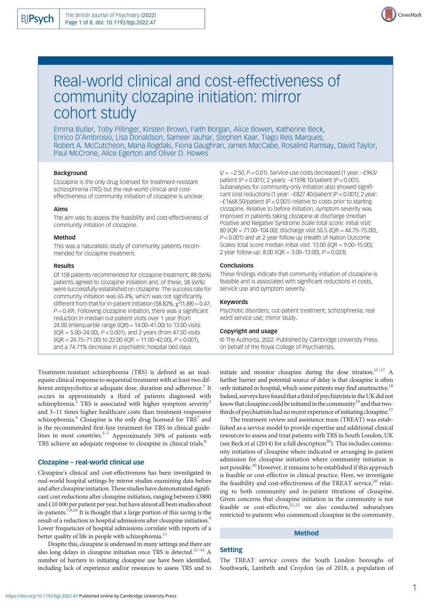

# Real-world clinical and cost-effectiveness of community clozapine initiation: mirror cohort study

Emma Butler, Toby Pillinger, Kirsten Brown, Faith Borgan, Alice Bowen, Katherine Beck, Enrico D'Ambrosio, Lisa Donaldson, Sameer Jauhar, Stephen Kaar, Tiago Reis Marques, Robert A. McCutcheon, Maria Rogdaki, Fiona Gaughran, James MacCabe, Rosalind Ramsay, David Taylor, Paul McCrone, Alice Egerton and Oliver D. Howes

#### Background

Clozapine is the only drug licensed for treatment-resistant schizophrenia (TRS) but the real-world clinical and costeffectiveness of community initiation of clozapine is unclear.

## Aims

The aim was to assess the feasibility and cost-effectiveness of community initiation of clozapine.

#### Method

This was a naturalistic study of community patients recommended for clozapine treatment.

#### Results

Of 158 patients recommended for clozapine treatment, 88 (56%) patients agreed to clozapine initiation and, of these, 58 (66%) were successfully established on clozapine. The success rate for community initiation was 65.4%; which was not significantly different from that for in-patient initiation (58.82%,  $\chi^2$ (1,88) = 0.47,  $P = 0.49$ ). Following clozapine initiation, there was a significant reduction in median out-patient visits over 1 year (from 24.00 (interquartile range (IQR) = 14.00–41.00) to 13.00 visits (IQR = 5.00–24.00), P < 0.001), and 2 years (from 47.50 visits  $(QR = 24.75 - 71.00)$  to 22.00 ( $lQR = 11.00 - 42.00$ ),  $P < 0.001$ ), and a 74.71% decrease in psychiatric hospital bed days

Treatment-resistant schizophrenia (TRS) is defined as an inadequate clinical response to sequential treatment with at least two dif-ferent antipsychotics at adequate dose, duration and adherence.<sup>[1](#page-6-0)</sup> It occurs in approximately a third of patients diagnosed with schizophrenia.<sup>[2](#page-7-0)</sup> TRS is associated with higher symptom severity<sup>[3](#page-7-0)</sup> and 3–11 times higher healthcare costs than treatment-responsive schizophrenia. $4$  Clozapine is the only drug licensed for TRS<sup>7</sup> and is the recommended first-line treatment for TRS in clinical guide-lines in most countries.<sup>5-[7](#page-7-0)</sup> Approximately 50% of patients with TRS achieve an adequate response to clozapine in clinical trials.<sup>[8](#page-7-0)</sup>

# Clozapine – real-world clinical use

Clozapine's clinical and cost-effectiveness has been investigated in real-world hospital settings by mirror studies examining data before and after clozapine initiation. These studies have demonstrated significant cost reductions after clozapine initiation, ranging between £3800 and £10 000 per patient per year, but have almost all been studies about in-patients.<sup>7,[9,10](#page-7-0)</sup> It is thought that a large portion of this saving is the result of a reduction in hospital admissions after clozapine initiation[.4](#page-7-0) Lower frequencies of hospital admissions correlate with reports of a better quality of life in people with schizophrenia.<sup>11</sup>

Despite this, clozapine is underused in many settings and there are also long delays in clozapine initiation once TRS is detected.<sup>[12](#page-7-0)–[14](#page-7-0)</sup> A number of barriers to initiating clozapine use have been identified, including lack of experience and/or resources to assess TRS and to (z = −2.50, P = 0.01). Service-use costs decreased (1 year: –£963/ patient (P < 0.001); 2 years: –£1598.10/patient (P < 0.001). Subanalyses for community-only initiation also showed significant cost reductions (1 year: –£827.40/patient (P < 0.001); 2 year: –£1668.50/patient (P < 0.001) relative to costs prior to starting clozapine. Relative to before initiation, symptom severity was improved in patients taking clozapine at discharge (median Positive and Negative Syndrome Scale total score: initial visit: 80 (IQR = 71.00–104.00); discharge visit 50.5 (IQR = 44.75–75.00), P < 0.001) and at 2 year follow-up (Health of Nation Outcome Scales total score median initial visit: 13.00 (IQR = 9.00–15.00); 2 year follow-up: 8.00 (IQR = 3.00–13.00),  $P = 0.023$ ).

## Conclusions

These findings indicate that community initiation of clozapine is feasible and is associated with significant reductions in costs, service use and symptom severity.

#### Keywords

Psychotic disorders; out-patient treatment; schizophrenia; real word service use; mirror study.

#### Copyright and usage

© The Author(s), 2022. Published by Cambridge University Press on behalf of the Royal College of Psychiatrists.

initiate and monitor clozapine during the dose titration. $15-17$  $15-17$  A further barrier and potential source of delay is that clozapine is often only initiated in hospital, which some patients may find unattractive.<sup>18</sup> Indeed, surveys have found that a third of psychiatrists in the UK did not know that clozapine could be initiated in the community<sup>19</sup> and that twothirds of psychiatrists had no recent experience of initiating clozapine. $^{17}$ 

The treatment review and assistance team (TREAT) was established as a service model to provide expertise and additional clinical resources to assess and treat patients with TRS in South London, UK (see Beck et al  $(2014)$  $(2014)$  $(2014)$  for a full description<sup>20</sup>). This includes community initiation of clozapine where indicated or arranging in-patient admission for clozapine initiation where community initiation is not possible.<sup>[20](#page-7-0)</sup> However, it remains to be established if this approach is feasible or cost-effective in clinical practice. Here, we investigate the feasibility and cost-effectiveness of the TREAT service, $20$  relating to both community and in-patient titrations of clozapine. Given concerns that clozapine initiation in the community is not feasible or cost-effective, $21,22$  $21,22$  $21,22$  we also conducted subanalyses restricted to patients who commenced clozapine in the community.

## Method

#### Setting

The TREAT service covers the South London boroughs of Southwark, Lambeth and Croydon (as of 2018, a population of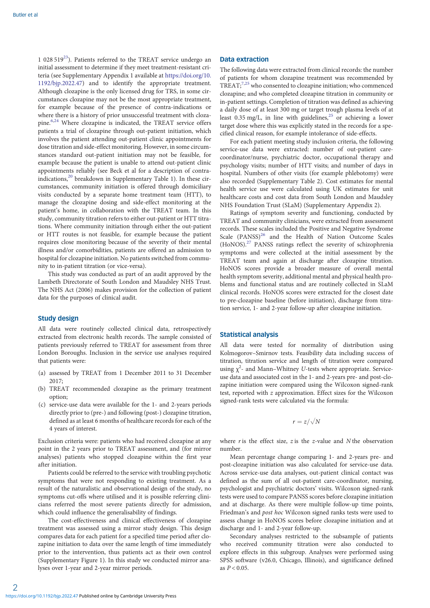1 028 519 $^{23}$  $^{23}$  $^{23}$ ). Patients referred to the TREAT service undergo an initial assessment to determine if they meet treatment-resistant criteria (see Supplementary Appendix 1 available at [https://doi.org/10.](https://doi.org/10.1192/bjp.2022.47) [1192/bjp.2022.47\)](https://doi.org/10.1192/bjp.2022.47) and to identify the appropriate treatment. Although clozapine is the only licensed drug for TRS, in some circumstances clozapine may not be the most appropriate treatment, for example because of the presence of contra-indications or where there is a history of prior unsuccessful treatment with cloza-pine.<sup>[6](#page-7-0),[24](#page-7-0)</sup> Where clozapine is indicated, the TREAT service offers patients a trial of clozapine through out-patient initiation, which involves the patient attending out-patient clinic appointments for dose titration and side-effect monitoring. However, in some circumstances standard out-patient initiation may not be feasible, for example because the patient is unable to attend out-patient clinic appointments reliably (see Beck et al for a description of contra-indications,<sup>[20](#page-7-0)</sup> breakdown in Supplementary Table 1). In these circumstances, community initiation is offered through domiciliary visits conducted by a separate home treatment team (HTT), to manage the clozapine dosing and side-effect monitoring at the patient's home, in collaboration with the TREAT team. In this study, community titration refers to either out-patient or HTT titrations. Where community initiation through either the out-patient or HTT routes is not feasible, for example because the patient requires close monitoring because of the severity of their mental illness and/or comorbidities, patients are offered an admission to hospital for clozapine initiation. No patients switched from community to in-patient titration (or vice-versa).

This study was conducted as part of an audit approved by the Lambeth Directorate of South London and Maudsley NHS Trust. The NHS Act (2006) makes provision for the collection of patient data for the purposes of clinical audit.

## Study design

All data were routinely collected clinical data, retrospectively extracted from electronic health records. The sample consisted of patients previously referred to TREAT for assessment from three London Boroughs. Inclusion in the service use analyses required that patients were:

- (a) assessed by TREAT from 1 December 2011 to 31 December 2017;
- (b) TREAT recommended clozapine as the primary treatment option;
- (c) service-use data were available for the 1- and 2-years periods directly prior to (pre-) and following (post-) clozapine titration, defined as at least 6 months of healthcare records for each of the 4 years of interest.

Exclusion criteria were: patients who had received clozapine at any point in the 2 years prior to TREAT assessment, and (for mirror analyses) patients who stopped clozapine within the first year after initiation.

Patients could be referred to the service with troubling psychotic symptoms that were not responding to existing treatment. As a result of the naturalistic and observational design of the study, no symptoms cut-offs where utilised and it is possible referring clinicians referred the most severe patients directly for admission, which could influence the generalisability of findings.

The cost-effectiveness and clinical effectiveness of clozapine treatment was assessed using a mirror study design. This design compares data for each patient for a specified time period after clozapine initiation to data over the same length of time immediately prior to the intervention, thus patients act as their own control (Supplementary Figure 1). In this study we conducted mirror analyses over 1-year and 2-year mirror periods.

## Data extraction

The following data were extracted from clinical records: the number of patients for whom clozapine treatment was recommended by  $TREAT$ ;<sup>7,25</sup> who consented to clozapine initiation; who commenced clozapine; and who completed clozapine titration in community or in-patient settings. Completion of titration was defined as achieving a daily dose of at least 300 mg or target trough plasma levels of at least  $0.35 \text{ mg/L}$ , in line with guidelines,<sup>[25](#page-7-0)</sup> or achieving a lower target dose where this was explicitly stated in the records for a specified clinical reason, for example intolerance of side-effects.

For each patient meeting study inclusion criteria, the following service-use data were extracted: number of out-patient carecoordinator/nurse, psychiatric doctor, occupational therapy and psychology visits; number of HTT visits; and number of days in hospital. Numbers of other visits (for example phlebotomy) were also recorded (Supplementary Table 2). Cost estimates for mental health service use were calculated using UK estimates for unit healthcare costs and cost data from South London and Maudsley NHS Foundation Trust (SLaM) (Supplementary Appendix 2).

Ratings of symptom severity and functioning, conducted by TREAT and community clinicians, were extracted from assessment records. These scales included the Positive and Negative Syndrome Scale (PANSS)<sup>[26](#page-7-0)</sup> and the Health of Nation Outcome Scales (HoNOS).[27](#page-7-0) PANSS ratings reflect the severity of schizophrenia symptoms and were collected at the initial assessment by the TREAT team and again at discharge after clozapine titration. HoNOS scores provide a broader measure of overall mental health symptom severity, additional mental and physical health problems and functional status and are routinely collected in SLaM clinical records. HoNOS scores were extracted for the closest date to pre-clozapine baseline (before initiation), discharge from titration service, 1- and 2-year follow-up after clozapine initiation.

## Statistical analysis

All data were tested for normality of distribution using Kolmogorov–Smirnov tests. Feasibility data including success of titration, titration service and length of titration were compared using  $\chi^2$ - and Mann–Whitney U-tests where appropriate. Serviceuse data and associated cost in the 1- and 2-years pre- and post-clozapine initiation were compared using the Wilcoxon signed-rank test, reported with z approximation. Effect sizes for the Wilcoxon signed-rank tests were calculated via the formula:

$$
r=z/\sqrt{N}
$$

where r is the effect size, z is the z-value and N the observation number.

Mean percentage change comparing 1- and 2-years pre- and post-clozapine initiation was also calculated for service-use data. Across service-use data analyses, out-patient clinical contact was defined as the sum of all out-patient care-coordinator, nursing, psychologist and psychiatric doctors' visits. Wilcoxon signed-rank tests were used to compare PANSS scores before clozapine initiation and at discharge. As there were multiple follow-up time points, Friedman's and post hoc Wilcoxon signed ranks tests were used to assess change in HoNOS scores before clozapine initiation and at discharge and 1- and 2-year follow-up.

Secondary analyses restricted to the subsample of patients who received community titration were also conducted to explore effects in this subgroup. Analyses were performed using SPSS software (v26.0, Chicago, Illinois), and significance defined as  $P < 0.05$ .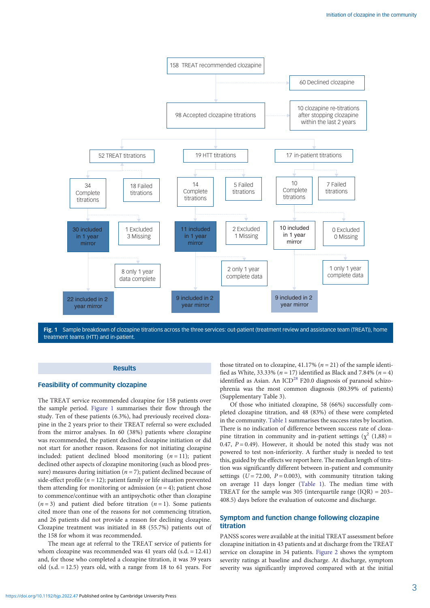<span id="page-2-0"></span>

Fig. 1 Sample breakdown of clozapine titrations across the three services: out-patient (treatment review and assistance team (TREAT)), home treatment teams (HTT) and in-patient.

## **Results**

# Feasibility of community clozapine

The TREAT service recommended clozapine for 158 patients over the sample period. Figure 1 summarises their flow through the study. Ten of these patients (6.3%), had previously received clozapine in the 2 years prior to their TREAT referral so were excluded from the mirror analyses. In 60 (38%) patients where clozapine was recommended, the patient declined clozapine initiation or did not start for another reason. Reasons for not initiating clozapine included: patient declined blood monitoring  $(n = 11)$ ; patient declined other aspects of clozapine monitoring (such as blood pressure) measures during initiation ( $n = 7$ ); patient declined because of side-effect profile ( $n = 12$ ); patient family or life situation prevented them attending for monitoring or admission  $(n = 4)$ ; patient chose to commence/continue with an antipsychotic other than clozapine  $(n=3)$  and patient died before titration  $(n=1)$ . Some patients cited more than one of the reasons for not commencing titration, and 26 patients did not provide a reason for declining clozapine. Clozapine treatment was initiated in 88 (55.7%) patients out of the 158 for whom it was recommended.

The mean age at referral to the TREAT service of patients for whom clozapine was recommended was 41 years old (s.d. = 12.41) and, for those who completed a clozapine titration, it was 39 years old  $(s.d. = 12.5)$  years old, with a range from 18 to 61 years. For

those titrated on to clozapine, 41.17% ( $n = 21$ ) of the sample identified as White, 33.33% ( $n = 17$ ) identified as Black and 7.84% ( $n = 4$ ) identified as Asian. An  $ICD<sup>28</sup>$  $ICD<sup>28</sup>$  $ICD<sup>28</sup>$  F20.0 diagnosis of paranoid schizophrenia was the most common diagnosis (80.39% of patients) (Supplementary Table 3).

Of those who initiated clozapine, 58 (66%) successfully completed clozapine titration, and 48 (83%) of these were completed in the community. [Table 1](#page-3-0) summarises the success rates by location. There is no indication of difference between success rate of clozapine titration in community and in-patient settings ( $\chi^2$  (1,88) = 0.47,  $P = 0.49$ ). However, it should be noted this study was not powered to test non-inferiority. A further study is needed to test this, guided by the effects we report here. The median length of titration was significantly different between in-patient and community settings ( $U = 72.00$ ,  $P = 0.003$ ), with community titration taking on average 11 days longer ([Table 1](#page-3-0)). The median time with TREAT for the sample was 305 (interquartile range  $(IQR) = 203-$ 408.5) days before the evaluation of outcome and discharge.

# Symptom and function change following clozapine titration

PANSS scores were available at the initial TREAT assessment before clozapine initiation in 43 patients and at discharge from the TREAT service on clozapine in 34 patients. [Figure 2](#page-3-0) shows the symptom severity ratings at baseline and discharge. At discharge, symptom severity was significantly improved compared with at the initial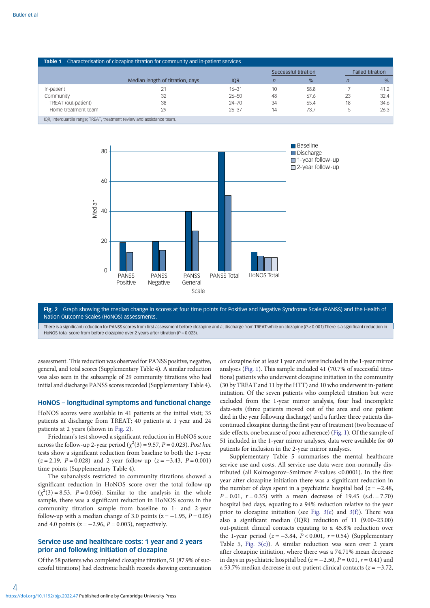<span id="page-3-0"></span>

| Characterisation of clozapine titration for community and in-patient services<br>Table 1 |                                  |            |                      |      |                         |      |
|------------------------------------------------------------------------------------------|----------------------------------|------------|----------------------|------|-------------------------|------|
|                                                                                          |                                  |            | Successful titration |      | <b>Failed titration</b> |      |
|                                                                                          | Median length of titration, days | <b>IQR</b> |                      | %    | n                       | %    |
| In-patient                                                                               | 21                               | $16 - 31$  | 10                   | 58.8 |                         | 41.2 |
| Community                                                                                | 32                               | $26 - 50$  | 48                   | 67.6 | 23                      | 32.4 |
| TREAT (out-patient)                                                                      | 38                               | $24 - 70$  | 34                   | 65.4 | 18                      | 34.6 |
| Home treatment team                                                                      | 29                               | $26 - 37$  | 14                   | 73.7 | b.                      | 26.3 |
| IQR, interquartile range; TREAT, treatment review and assistance team.                   |                                  |            |                      |      |                         |      |



Fig. 2 Graph showing the median change in scores at four time points for Positive and Negative Syndrome Scale (PANSS) and the Health of Nation Outcome Scales (HoNOS) assessments. There is a significant reduction for PANSS scores from first assessment before clozapine and at discharge from TREAT while on clozapine (P < 0.001) There is a significant reduction in

HoNOS total score from before clozapine over 2 years after titration ( $P = 0.023$ ).

assessment. This reduction was observed for PANSS positive, negative, general, and total scores (Supplementary Table 4). A similar reduction was also seen in the subsample of 29 community titrations who had initial and discharge PANSS scores recorded (Supplementary Table 4).

#### HoNOS – longitudinal symptoms and functional change

HoNOS scores were available in 41 patients at the initial visit; 35 patients at discharge from TREAT; 40 patients at 1 year and 24 patients at 2 years (shown in Fig. 2).

Friedman's test showed a significant reduction in HoNOS score across the follow-up 2-year period ( $\chi^2(3) = 9.57$ ,  $P = 0.023$ ). Post hoc tests show a significant reduction from baseline to both the 1-year  $(z = 2.19, P = 0.028)$  and 2-year follow-up  $(z = -3.43, P = 0.001)$ time points (Supplementary Table 4).

The subanalysis restricted to community titrations showed a significant reduction in HoNOS score over the total follow-up  $(\chi^2(3) = 8.53, P = 0.036)$ . Similar to the analysis in the whole sample, there was a significant reduction in HoNOS scores in the community titration sample from baseline to 1- and 2-year follow-up with a median change of 3.0 points ( $z = -1.95$ ,  $P = 0.05$ ) and 4.0 points ( $z = -2.96$ ,  $P = 0.003$ ), respectively.

# Service use and healthcare costs: 1 year and 2 years prior and following initiation of clozapine

Of the 58 patients who completed clozapine titration, 51 (87.9% of successful titrations) had electronic health records showing continuation on clozapine for at least 1 year and were included in the 1-year mirror analyses ([Fig. 1](#page-2-0)). This sample included 41 (70.7% of successful titrations) patients who underwent clozapine initiation in the community (30 by TREAT and 11 by the HTT) and 10 who underwent in-patient initiation. Of the seven patients who completed titration but were excluded from the 1-year mirror analysis, four had incomplete data-sets (three patients moved out of the area and one patient died in the year following discharge) and a further three patients discontinued clozapine during the first year of treatment (two because of side-effects, one because of poor adherence) [\(Fig. 1](#page-2-0)). Of the sample of 51 included in the 1-year mirror analyses, data were available for 40 patients for inclusion in the 2-year mirror analyses.

Supplementary Table 5 summarises the mental healthcare service use and costs. All service-use data were non-normally distributed (all Kolmogorov–Smirnov P-values <0.0001). In the first year after clozapine initiation there was a significant reduction in the number of days spent in a psychiatric hospital bed  $(z = -2.48$ ,  $P = 0.01$ ,  $r = 0.35$ ) with a mean decrease of 19.45 (s.d. = 7.70) hospital bed days, equating to a 94% reduction relative to the year prior to clozapine initiation (see [Fig. 3\(e](#page-4-0)) and [3\(f\)\)](#page-4-0). There was also a significant median (IQR) reduction of 11 (9.00–23.00) out-patient clinical contacts equating to a 45.8% reduction over the 1-year period ( $z = -3.84$ ,  $P < 0.001$ ,  $r = 0.54$ ) (Supplementary Table 5, Fig.  $3(c)$ ). A similar reduction was seen over 2 years after clozapine initiation, where there was a 74.71% mean decrease in days in psychiatric hospital bed ( $z = -2.50$ ,  $P = 0.01$ ,  $r = 0.41$ ) and a 53.7% median decrease in out-patient clinical contacts ( $z = -3.72$ ,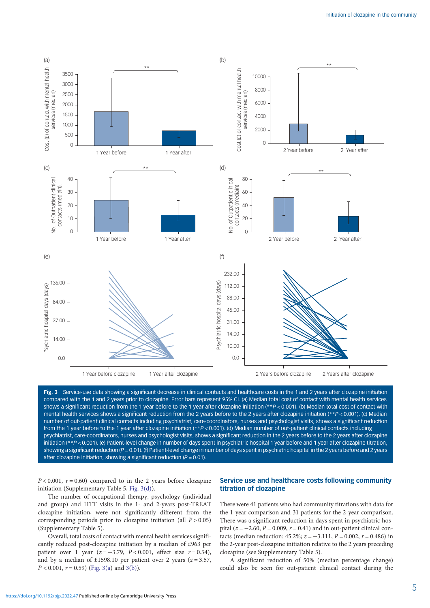<span id="page-4-0"></span>

Fig. 3 Service-use data showing a significant decrease in clinical contacts and healthcare costs in the 1 and 2 years after clozapine initiation compared with the 1 and 2 years prior to clozapine. Error bars represent 95% CI. (a) Median total cost of contact with mental health services shows a significant reduction from the 1 year before to the 1 year after clozapine initiation (\*\*P < 0.001). (b) Median total cost of contact with mental health services shows a significant reduction from the 2 years before to the 2 years after clozapine initiation (\*\*P < 0.001). (c) Median number of out-patient clinical contacts including psychiatrist, care-coordinators, nurses and psychologist visits, shows a significant reduction from the 1 year before to the 1 year after clozapine initiation (\*\*P < 0.001). (d) Median number of out-patient clinical contacts including psychiatrist, care-coordinators, nurses and psychologist visits, shows a significant reduction in the 2 years before to the 2 years after clozapine initiation (\*\*P < 0.001). (e) Patient-level change in number of days spent in psychiatric hospital 1 year before and 1 year after clozapine titration, showing a significant reduction ( $P = 0.01$ ). (f) Patient-level change in number of days spent in psychiatric hospital in the 2 years before and 2 years after clozapine initiation, showing a significant reduction ( $P = 0.01$ ).

 $P < 0.001$ ,  $r = 0.60$ ) compared to in the 2 years before clozapine initiation (Supplementary Table 5, Fig. 3(d)).

The number of occupational therapy, psychology (individual and group) and HTT visits in the 1- and 2-years post-TREAT clozapine initiation, were not significantly different from the corresponding periods prior to clozapine initiation (all  $P > 0.05$ ) (Supplementary Table 5).

Overall, total costs of contact with mental health services significantly reduced post-clozapine initiation by a median of £963 per patient over 1 year (z = -3.79,  $P < 0.001$ , effect size  $r = 0.54$ ), and by a median of £1598.10 per patient over 2 years ( $z = 3.57$ ,  $P < 0.001$ ,  $r = 0.59$ ) (Fig. 3(a) and 3(b)).

## Service use and healthcare costs following community titration of clozapine

There were 41 patients who had community titrations with data for the 1-year comparison and 31 patients for the 2-year comparison. There was a significant reduction in days spent in psychiatric hospital ( $z = -2.60$ ,  $P = 0.009$ ,  $r = 0.41$ ) and in out-patient clinical contacts (median reduction: 45.2%;  $z = -3.111$ ,  $P = 0.002$ ,  $r = 0.486$ ) in the 2-year post-clozapine initiation relative to the 2 years preceding clozapine (see Supplementary Table 5).

A significant reduction of 50% (median percentage change) could also be seen for out-patient clinical contact during the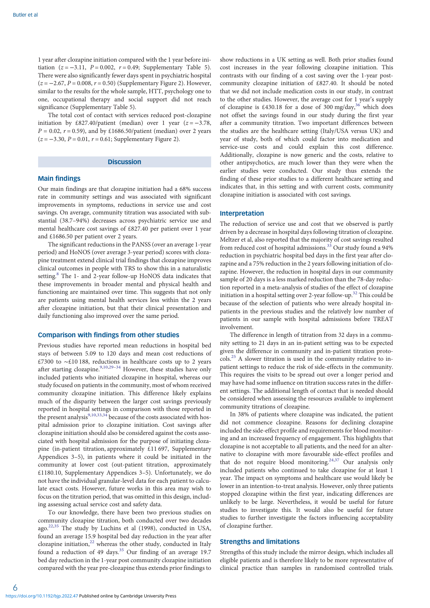1 year after clozapine initiation compared with the 1 year before initiation ( $z = -3.11$ ,  $P = 0.002$ ,  $r = 0.49$ ; Supplementary Table 5). There were also significantly fewer days spent in psychiatric hospital  $(z = -2.67, P = 0.008, r = 0.50)$  (Supplementary Figure 2). However, similar to the results for the whole sample, HTT, psychology one to one, occupational therapy and social support did not reach significance (Supplementary Table 5).

The total cost of contact with services reduced post-clozapine initiation by £827.40/patient (median) over 1 year  $(z = -3.78$ ,  $P = 0.02$ ,  $r = 0.59$ ), and by £1686.50/patient (median) over 2 years  $(z = -3.30, P = 0.01, r = 0.61;$  Supplementary Figure 2).

#### **Discussion**

#### Main findings

Our main findings are that clozapine initiation had a 68% success rate in community settings and was associated with significant improvements in symptoms, reductions in service use and cost savings. On average, community titration was associated with substantial (38.7–94%) decreases across psychiatric service use and mental healthcare cost savings of £827.40 per patient over 1 year and £1686.50 per patient over 2 years.

The significant reductions in the PANSS (over an average 1-year period) and HoNOS (over average 3-year period) scores with clozapine treatment extend clinical trial findings that clozapine improves clinical outcomes in people with TRS to show this in a naturalistic setting.<sup>8</sup> The 1- and 2-year follow-up HoNOS data indicates that these improvements in broader mental and physical health and functioning are maintained over time. This suggests that not only are patients using mental health services less within the 2 years after clozapine initiation, but that their clinical presentation and daily functioning also improved over the same period.

## Comparison with findings from other studies

Previous studies have reported mean reductions in hospital bed stays of between 5.09 to 120 days and mean cost reductions of £7300 to ∼£10 188, reductions in healthcare costs up to 2 years after starting clozapine. $9,10,29-34$  $9,10,29-34$  $9,10,29-34$  $9,10,29-34$  $9,10,29-34$  $9,10,29-34$  $9,10,29-34$  However, these studies have only included patients who initiated clozapine in hospital, whereas our study focused on patients in the community, most of whom received community clozapine initiation. This difference likely explains much of the disparity between the larger cost savings previously reported in hospital settings in comparison with those reported in the present analysis $^{9,10,33,34}$  $^{9,10,33,34}$  $^{9,10,33,34}$  because of the costs associated with hospital admission prior to clozapine initiation. Cost savings after clozapine initiation should also be considered against the costs associated with hospital admission for the purpose of initiating clozapine (in-patient titration, approximately £11 697, Supplementary Appendices 3–5), in patients where it could be initiated in the community at lower cost (out-patient titration, approximately £1180.10, Supplementary Appendices 3–5). Unfortunately, we do not have the individual granular-level data for each patient to calculate exact costs. However, future works in this area may wish to focus on the titration period, that was omitted in this design, including assessing actual service cost and safety data.

To our knowledge, there have been two previous studies on community clozapine titration, both conducted over two decades ago[.22](#page-7-0),[35](#page-7-0) The study by Luchins et al (1998), conducted in USA, found an average 15.9 hospital bed day reduction in the year after clozapine initiation, $22$  whereas the other study, conducted in Italy found a reduction of 49 days.<sup>[35](#page-7-0)</sup> Our finding of an average 19.7 bed day reduction in the 1-year post community clozapine initiation compared with the year pre-clozapine thus extends prior findings to show reductions in a UK setting as well. Both prior studies found cost increases in the year following clozapine initiation. This contrasts with our finding of a cost saving over the 1-year postcommunity clozapine initiation of £827.40. It should be noted that we did not include medication costs in our study, in contrast to the other studies. However, the average cost for 1 year's supply of clozapine is £430.18 for a dose of 300 mg/day,<sup>36</sup> which does not offset the savings found in our study during the first year after a community titration. Two important differences between the studies are the healthcare setting (Italy/USA versus UK) and year of study, both of which could factor into medication and service-use costs and could explain this cost difference. Additionally, clozapine is now generic and the costs, relative to other antipsychotics, are much lower than they were when the earlier studies were conducted. Our study thus extends the finding of these prior studies to a different healthcare setting and indicates that, in this setting and with current costs, community clozapine initiation is associated with cost savings.

#### Interpretation

The reduction of service use and cost that we observed is partly driven by a decrease in hospital days following titration of clozapine. Meltzer et al, also reported that the majority of cost savings resulted from reduced cost of hospital admissions.<sup>[33](#page-7-0)</sup> Our study found a 94% reduction in psychiatric hospital bed days in the first year after clozapine and a 75% reduction in the 2 years following initiation of clozapine. However, the reduction in hospital days in our community sample of 20 days is a less marked reduction than the 78-day reduction reported in a meta-analysis of studies of the effect of clozapine initiation in a hospital setting over 2-year follow-up.[32](#page-7-0) This could be because of the selection of patients who were already hospital inpatients in the previous studies and the relatively low number of patients in our sample with hospital admissions before TREAT involvement.

The difference in length of titration from 32 days in a community setting to 21 days in an in-patient setting was to be expected given the difference in community and in-patient titration protocols.[25](#page-7-0) A slower titration is used in the community relative to inpatient settings to reduce the risk of side-effects in the community. This requires the visits to be spread out over a longer period and may have had some influence on titration success rates in the different settings. The additional length of contact that is needed should be considered when assessing the resources available to implement community titrations of clozapine.

In 38% of patients where clozapine was indicated, the patient did not commence clozapine. Reasons for declining clozapine included the side-effect profile and requirements for blood monitoring and an increased frequency of engagement. This highlights that clozapine is not acceptable to all patients, and the need for an alternative to clozapine with more favourable side-effect profiles and that do not require blood monitoring.<sup>[24](#page-7-0),[37](#page-7-0)</sup> Our analysis only included patients who continued to take clozapine for at least 1 year. The impact on symptoms and healthcare use would likely be lower in an intention-to-treat analysis. However, only three patients stopped clozapine within the first year, indicating differences are unlikely to be large. Nevertheless, it would be useful for future studies to investigate this. It would also be useful for future studies to further investigate the factors influencing acceptability of clozapine further.

## Strengths and limitations

Strengths of this study include the mirror design, which includes all eligible patients and is therefore likely to be more representative of clinical practice than samples in randomised controlled trials.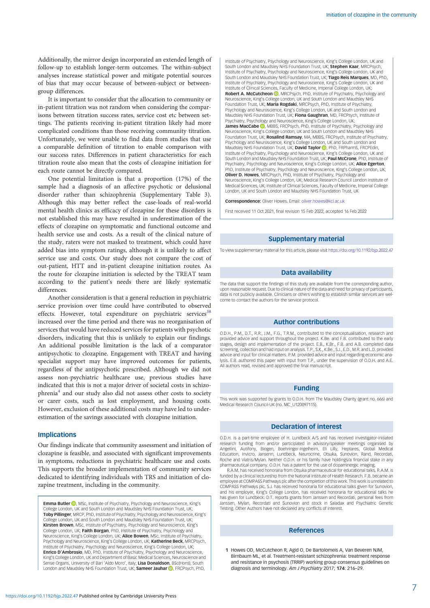<span id="page-6-0"></span>Additionally, the mirror design incorporated an extended length of follow-up to establish longer-term outcomes. The within-subject analyses increase statistical power and mitigate potential sources of bias that may occur because of between-subject or betweengroup differences.

It is important to consider that the allocation to community or in-patient titration was not random when considering the comparisons between titration success rates, service cost etc between settings. The patients receiving in-patient titration likely had more complicated conditions than those receiving community titration. Unfortunately, we were unable to find data from studies that use a comparable definition of titration to enable comparison with our success rates. Differences in patient characteristics for each titration route also mean that the costs of clozapine initiation for each route cannot be directly compared.

One potential limitation is that a proportion (17%) of the sample had a diagnosis of an affective psychotic or delusional disorder rather than schizophrenia (Supplementary Table 3). Although this may better reflect the case-loads of real-world mental health clinics as efficacy of clozapine for these disorders is not established this may have resulted in underestimation of the effects of clozapine on symptomatic and functional outcome and health service use and costs. As a result of the clinical nature of the study, raters were not masked to treatment, which could have added bias into symptom ratings, although it is unlikely to affect service use and costs. Our study does not compare the cost of out-patient, HTT and in-patient clozapine initiation routes. As the route for clozapine initiation is selected by the TREAT team according to the patient's needs there are likely systematic differences.

Another consideration is that a general reduction in psychiatric service provision over time could have contributed to observed effects. However, total expenditure on psychiatric services<sup>[38](#page-7-0)</sup> increased over the time period and there was no reorganisation of services that would have reduced services for patients with psychotic disorders, indicating that this is unlikely to explain our findings. An additional possible limitation is the lack of a comparator antipsychotic to clozapine. Engagement with TREAT and having specialist support may have improved outcomes for patients, regardless of the antipsychotic prescribed. Although we did not assess non-psychiatric healthcare use, previous studies have indicated that this is not a major driver of societal costs in schizophreni[a4](#page-7-0) and our study also did not assess other costs to society or carer costs, such as lost employment, and housing costs. However, exclusion of these additional costs may have led to underestimation of the savings associated with clozapine initiation.

## **Implications**

Our findings indicate that community assessment and initiation of clozapine is feasible, and associated with significant improvements in symptoms, reductions in psychiatric healthcare use and costs. This supports the broader implementation of community services dedicated to identifying individuals with TRS and initiation of clozapine treatment, including in the community.

**Emma Butler D.** MSc, Institute of Psychiatry, Psychology and Neuroscience, King's College London, UK and South London and Maudsley NHS Foundation Trust, UK; Toby Pillinger, MRCP, PhD, Institute of Psychiatry, Psychology and Neuroscience, King's College London, UK and South London and Maudsley NHS Foundation Trust, UK; Kirsten Brown, MSc, Institute of Psychiatry, Psychology and Neuroscience, King's College London, UK; Faith Borgan, PhD, Institute of Psychiatry, Psychology and Neuroscience, King's College London, UK; Alice Bowen, MSc, Institute of Psychiatry, Psychology and Neuroscience, King's College London, UK; Katherine Beck, MRCPsych, Institute of Psychiatry, Psychology and Neuroscience, King's College London, UK; **Enrico D'Ambrosio**, MD, PhD, Institute of Psychiatry, Psychology and Neuroscience,<br>King's College London, UK and Department of Basic Medical Sciences, Neuroscience and Sense Organs, University of Bari 'Aldo Moro', Italy; Lisa Donaldson, BSc(Hons), South London and Maudsley NHS Foundation Trust[,](https://orcid.org/0000-0002-3878-3659) UK; Sameer Jauhar **D**, FRCPsych, PhD,

Institute of Psychiatry, Psychology and Neuroscience, King's College London, UK and South London and Maudsley NHS Foundation Trust, UK; Stephen Kaar, MRCPsych, Institute of Psychiatry, Psychology and Neuroscience, King's College London, UK and South London and Maudsley NHS Foundation Trust, UK; Tiago Reis Marques, MD, PhD, Institute of Psychiatry, Psychology and Neuroscience, King's College London, UK and Institute of Clinical Sciences, Faculty of Medicine, Imperial College London, UK; Robert A. McCutcheon **D**. MRCPsych[,](https://orcid.org/0000-0003-1102-2566) PhD, Institute of Psychiatry, Psychology and Neuroscience, King's College London, UK and South London and Maudsley NHS Foundation Trust, UK; Maria Rogdaki, MRCPsych, PhD, Institute of Psychiatry, Psychology and Neuroscience, King's College London, UK and South London and Maudsley NHS Foundation Trust, UK; Fiona Gaughran, MD, FRCPsych, Institute of Psychiatry, Psychology and Neuroscience, King's College London, UK; James MacCabe <sup>(b)</sup>[,](https://orcid.org/0000-0002-6754-1018) MBBS, FRCPsych, PhD, Institute of Psychiatry, Psychology and Neuroscience, King's College London, UK and South London and Maudsley NHS Foundation Trust, UK; Rosalind Ramsay, MA, MBBS, FRCPsych, Institute of Psychiatry, Psychology and Neuroscience, King's College London, UK and South London and Maudsley NHS Foundation Trust, UK; David Taylor (D, PhD, FRPharmS, FRCPEdin, Institute of Psychiatry, Psychology and Neuroscience, King's College London, UK and South London and Maudsley NHS Foundation Trust, UK; Paul McCrone, PhD, Institute of Psychiatry, Psychology and Neuroscience, King's College London, UK; Alice Egerton, PhD, Institute of Psychiatry, Psychology and Neuroscience, King's College London, UK; Oliver D. Howes, MRCPsych, PhD, Institute of Psychiatry, Psychology and Neuroscience, King's College London, UK; Medical Research Council London Institute of Medical Sciences, UK; Institute of Clinical Sciences, Faculty of Medicine, Imperial College London, UK and South London and Maudsley NHS Foundation Trust, UK

Correspondence: Oliver Howes. Email: [oliver.howes@kcl.ac.uk](mailto:oliver.howes@kcl.ac.uk)

First received 11 Oct 2021, final revision 15 Feb 2022, accepted 16 Feb 2022

# Supplementary material

To view supplementary material for this article, please visit <https://doi.org/10.1192/bjp.2022.47>

## Data availability

The data that support the findings of this study are available from the corresponding author, upon reasonable request. Due to clinical nature of the data and need for privacy of participants, data is not publicly available. Clinicians or others wishing to establish similar services are welcome to contact the authors for the service protocol.

# Author contributions

O.D.H., P.M., D.T., R.R., I.M., F.G., T.R.M., contributed to the conceptualisation, research and provided advice and support throughout the project. K.Be. and F.B. contributed to the early stages, design and implementation of the project. E.B., K.Br., F.B. and A.B. completed data screening, collection and had input on analysis. T.P., S.K., K.Be., S.J., E.D., M.R. and L.D. provided advice and input for clinical matters. P.M. provided advice and input regarding economic analysis. E.B. authored this paper with input from T.P., under the supervision of O.D.H. and A.E. All authors read, revised and approved the final manuscript.

## Funding

This work was supported by grants to O.D.H. from The Maudsley Charity (grant no. 666) and Medical Research Council-UK (no. MC\_U120097115).

## Declaration of interest

O.D.H. is a part-time employee of H. Lundbeck A/S and has received investigator-initiated research funding from and/or participated in advisory/speaker meetings organised by Angellini, Autifony, Biogen, Boehringer-Ingelheim, Eli Lilly, Heptares, Global Medical Education, Invicro, Jansenn, Lundbeck, Neurocrine, Otsuka, Sunovion, Rand, Recordati, Roche and Viatris/Mylan. Neither O.D.H. or his family have holdings/a financial stake in any pharmaceutical company. O.D.H. has a patent for the use of dopaminergic imaging.

R.A.M. has received honoraria from Otsuka pharmaceutical for educational talks. R.A.M. is funded by a clinical lectureship from the National Institute of Health Research. F.B. became an employee at COMPASS Pathways plc after the completion of this work. This work is unrelated to COMPASS Pathways plc. S.J. has received honoraria for educational talks given for Sunovion, and his employer, King's College London, has received honoraria for educational talks he has given for Lundbeck. D.T. reports grants from Janssen and Recordati, personal fees from Janssen, Mylan, Recordati and Sunovion and stock in Saladax and Psychiatric Genetic Testing. Other Authors have not declared any conflicts of interest.

#### References

1 Howes OD, McCutcheon R, Agid O, De Bartolomeis A, Van Beveren NJM, Birnbaum ML, et al. Treatment-resistant schizophrenia: treatment response and resistance in psychosis (TRRIP) working group consensus guidelines on diagnosis and terminology. Am J Psychiatry 2017; 174: 216–29.